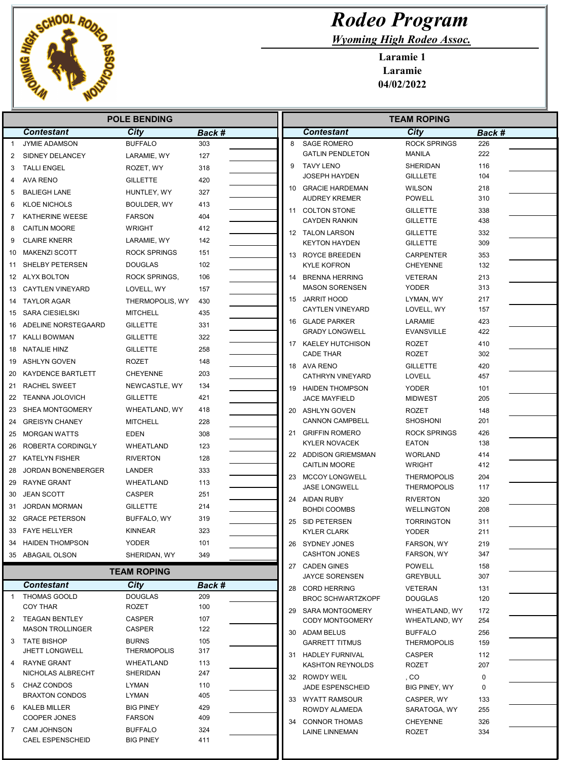

## Rodeo Program

Wyoming High Rodeo Assoc.

Laramie 1 Laramie 04/02/2022

|                | <b>POLE BENDING</b>                    |                                   |            |  | <b>TEAM ROPING</b> |                                         |                                      |            |
|----------------|----------------------------------------|-----------------------------------|------------|--|--------------------|-----------------------------------------|--------------------------------------|------------|
|                | <b>Contestant</b>                      | City                              | Back #     |  |                    | <b>Contestant</b>                       | City                                 | Back #     |
| $\overline{1}$ | <b>JYMIE ADAMSON</b>                   | <b>BUFFALO</b>                    | 303        |  | 8                  | <b>SAGE ROMERO</b>                      | <b>ROCK SPRINGS</b>                  | 226        |
| 2              | SIDNEY DELANCEY                        | LARAMIE, WY                       | 127        |  |                    | <b>GATLIN PENDLETON</b>                 | <b>MANILA</b>                        | 222        |
| 3              | <b>TALLI ENGEL</b>                     | ROZET, WY                         | 318        |  | 9                  | <b>TAVY LENO</b>                        | <b>SHERIDAN</b>                      | 116        |
| 4              | <b>AVA RENO</b>                        | <b>GILLETTE</b>                   | 420        |  |                    | <b>JOSEPH HAYDEN</b>                    | <b>GILLLETE</b>                      | 104        |
| 5              | <b>BALIEGH LANE</b>                    | HUNTLEY, WY                       | 327        |  |                    | 10 GRACIE HARDEMAN                      | <b>WILSON</b>                        | 218        |
| 6              | <b>KLOE NICHOLS</b>                    | BOULDER, WY                       | 413        |  |                    | <b>AUDREY KREMER</b>                    | <b>POWELL</b>                        | 310        |
| 7              | KATHERINE WEESE                        | <b>FARSON</b>                     | 404        |  |                    | 11 COLTON STONE                         | <b>GILLETTE</b>                      | 338<br>438 |
| 8              | <b>CAITLIN MOORE</b>                   | WRIGHT                            | 412        |  |                    | <b>CAYDEN RANKIN</b>                    | <b>GILLETTE</b>                      |            |
| 9              | <b>CLAIRE KNERR</b>                    | LARAMIE, WY                       | 142        |  |                    | 12 TALON LARSON<br><b>KEYTON HAYDEN</b> | <b>GILLETTE</b><br><b>GILLETTE</b>   | 332<br>309 |
| 10             | <b>MAKENZI SCOTT</b>                   | <b>ROCK SPRINGS</b>               | 151        |  |                    | 13 ROYCE BREEDEN                        | <b>CARPENTER</b>                     | 353        |
|                | SHELBY PETERSEN                        | <b>DOUGLAS</b>                    | 102        |  |                    | <b>KYLE KOFRON</b>                      | <b>CHEYENNE</b>                      | 132        |
|                | 12 ALYX BOLTON                         | <b>ROCK SPRINGS,</b>              | 106        |  | 14                 | <b>BRENNA HERRING</b>                   | <b>VETERAN</b>                       | 213        |
|                | 13 CAYTLEN VINEYARD                    | LOVELL, WY                        | 157        |  |                    | <b>MASON SORENSEN</b>                   | <b>YODER</b>                         | 313        |
| 14             | <b>TAYLOR AGAR</b>                     | THERMOPOLIS, WY                   | 430        |  |                    | 15 JARRIT HOOD                          | LYMAN, WY                            | 217        |
| 15             | SARA CIESIELSKI                        | <b>MITCHELL</b>                   | 435        |  |                    | <b>CAYTLEN VINEYARD</b>                 | LOVELL, WY                           | 157        |
| 16             | ADELINE NORSTEGAARD                    | <b>GILLETTE</b>                   | 331        |  |                    | 16 GLADE PARKER                         | LARAMIE                              | 423        |
|                | 17 KALLI BOWMAN                        | <b>GILLETTE</b>                   | 322        |  |                    | <b>GRADY LONGWELL</b>                   | <b>EVANSVILLE</b>                    | 422        |
|                | 18 NATALIE HINZ                        | <b>GILLETTE</b>                   | 258        |  | 17                 | KAELEY HUTCHISON                        | ROZET                                | 410        |
| 19             | ASHLYN GOVEN                           | <b>ROZET</b>                      | 148        |  |                    | <b>CADE THAR</b>                        | <b>ROZET</b>                         | 302        |
| 20             | KAYDENCE BARTLETT                      | <b>CHEYENNE</b>                   | 203        |  |                    | 18 AVA RENO<br><b>CATHRYN VINEYARD</b>  | <b>GILLETTE</b><br><b>LOVELL</b>     | 420<br>457 |
|                | 21 RACHEL SWEET                        | NEWCASTLE, WY                     | 134        |  | 19                 | <b>HAIDEN THOMPSON</b>                  | <b>YODER</b>                         | 101        |
|                | 22 TEANNA JOLOVICH                     | <b>GILLETTE</b>                   | 421        |  |                    | <b>JACE MAYFIELD</b>                    | <b>MIDWEST</b>                       | 205        |
|                | 23 SHEA MONTGOMERY                     | WHEATLAND, WY                     | 418        |  |                    | 20 ASHLYN GOVEN                         | <b>ROZET</b>                         | 148        |
| 24             | <b>GREISYN CHANEY</b>                  | <b>MITCHELL</b>                   | 228        |  |                    | <b>CANNON CAMPBELL</b>                  | <b>SHOSHONI</b>                      | 201        |
| 25             | MORGAN WATTS                           | <b>EDEN</b>                       | 308        |  | 21                 | <b>GRIFFIN ROMERO</b>                   | <b>ROCK SPRINGS</b>                  | 426        |
| 26             | ROBERTA CORDINGLY                      | WHEATLAND                         | 123        |  |                    | <b>KYLER NOVACEK</b>                    | <b>EATON</b>                         | 138        |
|                | 27 KATELYN FISHER                      | <b>RIVERTON</b>                   | 128        |  |                    | 22 ADDISON GRIEMSMAN                    | <b>WORLAND</b>                       | 414        |
| 28             | JORDAN BONENBERGER                     | LANDER                            | 333        |  |                    | <b>CAITLIN MOORE</b>                    | <b>WRIGHT</b>                        | 412        |
| 29             | RAYNE GRANT                            | WHEATLAND                         | 113        |  |                    | 23 MCCOY LONGWELL                       | <b>THERMOPOLIS</b>                   | 204        |
| 30             | <b>JEAN SCOTT</b>                      | <b>CASPER</b>                     | 251        |  |                    | <b>JASE LONGWELL</b>                    | <b>THERMOPOLIS</b>                   | 117        |
| 31             | <b>JORDAN MORMAN</b>                   | <b>GILLETTE</b>                   | 214        |  |                    | 24 AIDAN RUBY<br><b>BOHDI COOMBS</b>    | <b>RIVERTON</b><br><b>WELLINGTON</b> | 320<br>208 |
|                | 32 GRACE PETERSON                      | BUFFALO, WY                       | 319        |  | 25                 | SID PETERSEN                            | <b>TORRINGTON</b>                    | 311        |
|                | 33 FAYE HELLYER                        | <b>KINNEAR</b>                    | 323        |  |                    | <b>KYLER CLARK</b>                      | <b>YODER</b>                         | 211        |
|                | 34 HAIDEN THOMPSON                     | <b>YODER</b>                      | 101        |  |                    | 26 SYDNEY JONES                         | FARSON, WY                           | 219        |
|                | 35 ABAGAIL OLSON                       | SHERIDAN, WY                      | 349        |  |                    | <b>CASHTON JONES</b>                    | FARSON, WY                           | 347        |
|                |                                        | <b>TEAM ROPING</b>                |            |  |                    | 27 CADEN GINES                          | <b>POWELL</b>                        | 158        |
|                |                                        |                                   |            |  |                    | <b>JAYCE SORENSEN</b>                   | <b>GREYBULL</b>                      | 307        |
|                | <b>Contestant</b>                      | City<br><b>DOUGLAS</b>            | Back #     |  |                    | 28 CORD HERRING                         | VETERAN                              | 131        |
| -1             | <b>THOMAS GOOLD</b><br><b>COY THAR</b> | ROZET                             | 209<br>100 |  |                    | <b>BROC SCHWARTZKOPF</b>                | <b>DOUGLAS</b>                       | 120        |
|                | 2 TEAGAN BENTLEY                       | CASPER                            | 107        |  |                    | 29 SARA MONTGOMERY                      | WHEATLAND, WY                        | 172        |
|                | <b>MASON TROLLINGER</b>                | CASPER                            | 122        |  |                    | <b>CODY MONTGOMERY</b><br>30 ADAM BELUS | WHEATLAND, WY<br><b>BUFFALO</b>      | 254<br>256 |
|                | 3 TATE BISHOP                          | <b>BURNS</b>                      | 105        |  |                    | <b>GARRETT TITMUS</b>                   | <b>THERMOPOLIS</b>                   | 159        |
|                | <b>JHETT LONGWELL</b>                  | <b>THERMOPOLIS</b>                | 317        |  |                    | 31 HADLEY FURNIVAL                      | <b>CASPER</b>                        | 112        |
|                | 4 RAYNE GRANT                          | WHEATLAND                         | 113        |  |                    | KASHTON REYNOLDS                        | ROZET                                | 207        |
|                | NICHOLAS ALBRECHT                      | SHERIDAN                          | 247        |  |                    | 32 ROWDY WEIL                           | , CO                                 | 0          |
|                | 5 CHAZ CONDOS                          | <b>LYMAN</b>                      | 110        |  |                    | JADE ESPENSCHEID                        | BIG PINEY, WY                        | 0          |
|                | <b>BRAXTON CONDOS</b>                  | LYMAN                             | 405        |  |                    | 33 WYATT RAMSOUR                        | CASPER, WY                           | 133        |
| 6              | KALEB MILLER<br>COOPER JONES           | <b>BIG PINEY</b><br><b>FARSON</b> | 429<br>409 |  |                    | ROWDY ALAMEDA                           | SARATOGA, WY                         | 255        |
| 7              | CAM JOHNSON                            | <b>BUFFALO</b>                    | 324        |  |                    | 34 CONNOR THOMAS                        | <b>CHEYENNE</b>                      | 326        |
|                | <b>CAEL ESPENSCHEID</b>                | <b>BIG PINEY</b>                  | 411        |  |                    | LAINE LINNEMAN                          | ROZET                                | 334        |
|                |                                        |                                   |            |  |                    |                                         |                                      |            |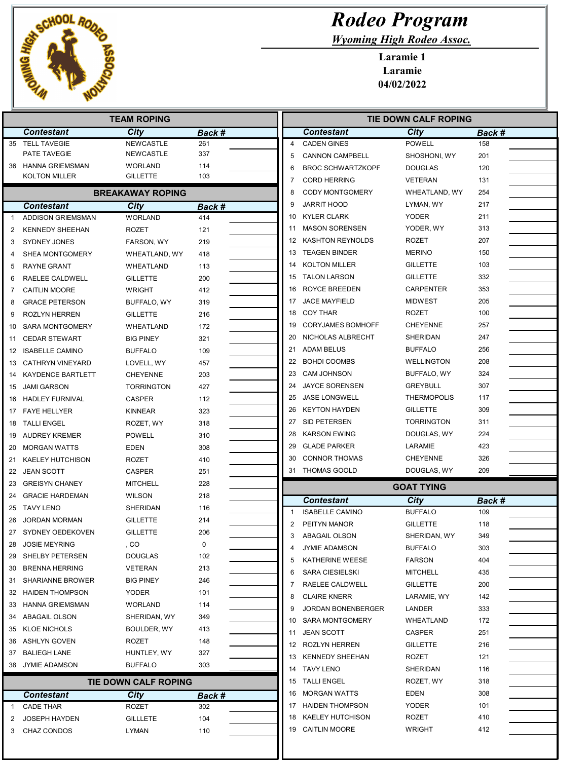

| <b>Rodeo Program</b>             |
|----------------------------------|
| <b>Wyoming High Rodeo Assoc.</b> |

Laramie 1 Laramie 04/02/2022

| <b>TEAM ROPING</b> |                          |                         |        |                | <b>TIE DOWN CALF ROPING</b> |                    |        |  |
|--------------------|--------------------------|-------------------------|--------|----------------|-----------------------------|--------------------|--------|--|
|                    | <b>Contestant</b>        | City                    | Back # |                | <b>Contestant</b>           | City               | Back # |  |
| 35                 | <b>TELL TAVEGIE</b>      | <b>NEWCASTLE</b>        | 261    | 4              | <b>CADEN GINES</b>          | <b>POWELL</b>      | 158    |  |
|                    | PATE TAVEGIE             | NEWCASTLE               | 337    | 5              | <b>CANNON CAMPBELL</b>      | SHOSHONI, WY       | 201    |  |
| 36                 | <b>HANNA GRIEMSMAN</b>   | <b>WORLAND</b>          | 114    | 6              | <b>BROC SCHWARTZKOPF</b>    | <b>DOUGLAS</b>     | 120    |  |
|                    | <b>KOLTON MILLER</b>     | <b>GILLETTE</b>         | 103    | 7              | <b>CORD HERRING</b>         | <b>VETERAN</b>     | 131    |  |
|                    |                          | <b>BREAKAWAY ROPING</b> |        | 8              | <b>CODY MONTGOMERY</b>      | WHEATLAND, WY      | 254    |  |
|                    | <b>Contestant</b>        | City                    | Back # | 9              | JARRIT HOOD                 | LYMAN, WY          | 217    |  |
| 1                  | <b>ADDISON GRIEMSMAN</b> | <b>WORLAND</b>          | 414    | 10             | <b>KYLER CLARK</b>          | YODER              | 211    |  |
| 2                  | <b>KENNEDY SHEEHAN</b>   | <b>ROZET</b>            | 121    | 11             | <b>MASON SORENSEN</b>       | YODER, WY          | 313    |  |
| 3                  | <b>SYDNEY JONES</b>      | FARSON, WY              | 219    | 12             | <b>KASHTON REYNOLDS</b>     | ROZET              | 207    |  |
|                    | SHEA MONTGOMERY          | WHEATLAND, WY           | 418    | 13             | <b>TEAGEN BINDER</b>        | <b>MERINO</b>      | 150    |  |
| 5                  | <b>RAYNE GRANT</b>       | WHEATLAND               | 113    | 14             | <b>KOLTON MILLER</b>        | <b>GILLETTE</b>    | 103    |  |
| 6                  | RAELEE CALDWELL          | <b>GILLETTE</b>         | 200    | 15             | <b>TALON LARSON</b>         | <b>GILLETTE</b>    | 332    |  |
| 7                  | <b>CAITLIN MOORE</b>     | <b>WRIGHT</b>           | 412    | 16             | ROYCE BREEDEN               | <b>CARPENTER</b>   | 353    |  |
| 8                  | <b>GRACE PETERSON</b>    | BUFFALO, WY             | 319    | 17             | <b>JACE MAYFIELD</b>        | <b>MIDWEST</b>     | 205    |  |
| 9                  | <b>ROZLYN HERREN</b>     | <b>GILLETTE</b>         | 216    | 18             | <b>COY THAR</b>             | <b>ROZET</b>       | 100    |  |
| 10                 | <b>SARA MONTGOMERY</b>   | WHEATLAND               | 172    | 19             | <b>CORYJAMES BOMHOFF</b>    | <b>CHEYENNE</b>    | 257    |  |
| 11                 | <b>CEDAR STEWART</b>     | <b>BIG PINEY</b>        | 321    | 20             | NICHOLAS ALBRECHT           | SHERIDAN           | 247    |  |
| 12                 | <b>ISABELLE CAMINO</b>   | <b>BUFFALO</b>          | 109    | 21             | <b>ADAM BELUS</b>           | <b>BUFFALO</b>     | 256    |  |
| 13                 | <b>CATHRYN VINEYARD</b>  | LOVELL, WY              | 457    | 22             | <b>BOHDI COOMBS</b>         | WELLINGTON         | 208    |  |
| 14                 | <b>KAYDENCE BARTLETT</b> | <b>CHEYENNE</b>         | 203    | 23             | <b>CAM JOHNSON</b>          | BUFFALO, WY        | 324    |  |
| 15                 | <b>JAMI GARSON</b>       | <b>TORRINGTON</b>       | 427    | 24             | <b>JAYCE SORENSEN</b>       | <b>GREYBULL</b>    | 307    |  |
| 16                 | <b>HADLEY FURNIVAL</b>   | <b>CASPER</b>           | 112    | 25             | <b>JASE LONGWELL</b>        | <b>THERMOPOLIS</b> | 117    |  |
| 17                 | <b>FAYE HELLYER</b>      | <b>KINNEAR</b>          | 323    | 26             | <b>KEYTON HAYDEN</b>        | <b>GILLETTE</b>    | 309    |  |
| 18                 | <b>TALLI ENGEL</b>       | ROZET, WY               | 318    | 27             | SID PETERSEN                | <b>TORRINGTON</b>  | 311    |  |
| 19                 | <b>AUDREY KREMER</b>     | <b>POWELL</b>           | 310    | 28             | <b>KARSON EWING</b>         | DOUGLAS, WY        | 224    |  |
| 20                 | <b>MORGAN WATTS</b>      | <b>EDEN</b>             | 308    | 29             | <b>GLADE PARKER</b>         | LARAMIE            | 423    |  |
| 21                 | <b>KAELEY HUTCHISON</b>  | ROZET                   | 410    | 30             | <b>CONNOR THOMAS</b>        | <b>CHEYENNE</b>    | 326    |  |
| 22                 | <b>JEAN SCOTT</b>        | <b>CASPER</b>           | 251    | 31             | <b>THOMAS GOOLD</b>         | DOUGLAS, WY        | 209    |  |
| 23                 | <b>GREISYN CHANEY</b>    | <b>MITCHELL</b>         | 228    |                |                             | <b>GOAT TYING</b>  |        |  |
| 24                 | <b>GRACIE HARDEMAN</b>   | <b>WILSON</b>           | 218    |                | <b>Contestant</b>           | City               | Back # |  |
| 25                 | <b>TAVY LENO</b>         | SHERIDAN                | 116    | $\mathbf{1}$   | <b>ISABELLE CAMINO</b>      | <b>BUFFALO</b>     | 109    |  |
| 26                 | <b>JORDAN MORMAN</b>     | <b>GILLETTE</b>         | 214    | $\overline{2}$ | PEITYN MANOR                | <b>GILLETTE</b>    | 118    |  |
| 27                 | SYDNEY OEDEKOVEN         | <b>GILLETTE</b>         | 206    | 3              | ABAGAIL OLSON               | SHERIDAN, WY       | 349    |  |
| 28                 | <b>JOSIE MEYRING</b>     | , CO                    | 0      | 4              | <b>JYMIE ADAMSON</b>        | <b>BUFFALO</b>     | 303    |  |
| 29                 | SHELBY PETERSEN          | <b>DOUGLAS</b>          | 102    | 5              | KATHERINE WEESE             | <b>FARSON</b>      | 404    |  |
| 30                 | <b>BRENNA HERRING</b>    | VETERAN                 | 213    | 6              | <b>SARA CIESIELSKI</b>      | <b>MITCHELL</b>    | 435    |  |
| 31                 | <b>SHARIANNE BROWER</b>  | <b>BIG PINEY</b>        | 246    | 7              | RAELEE CALDWELL             | <b>GILLETTE</b>    | 200    |  |
| 32                 | <b>HAIDEN THOMPSON</b>   | <b>YODER</b>            | 101    | 8              | <b>CLAIRE KNERR</b>         | LARAMIE, WY        | 142    |  |
| 33                 | HANNA GRIEMSMAN          | <b>WORLAND</b>          | 114    | 9              | JORDAN BONENBERGER          | LANDER             | 333    |  |
| 34                 | <b>ABAGAIL OLSON</b>     | SHERIDAN, WY            | 349    | 10             | <b>SARA MONTGOMERY</b>      | WHEATLAND          | 172    |  |
| 35                 | <b>KLOE NICHOLS</b>      | BOULDER, WY             | 413    | 11             | <b>JEAN SCOTT</b>           | CASPER             | 251    |  |
| 36                 | <b>ASHLYN GOVEN</b>      | ROZET                   | 148    | 12             | ROZLYN HERREN               | <b>GILLETTE</b>    | 216    |  |
| 37                 | <b>BALIEGH LANE</b>      | HUNTLEY, WY             | 327    | 13             | <b>KENNEDY SHEEHAN</b>      | ROZET              | 121    |  |
| 38                 | <b>JYMIE ADAMSON</b>     | <b>BUFFALO</b>          | 303    |                | 14 TAVY LENO                | SHERIDAN           | 116    |  |
|                    |                          | TIE DOWN CALF ROPING    |        | 15             | <b>TALLI ENGEL</b>          | ROZET, WY          | 318    |  |
|                    | <b>Contestant</b>        | City                    | Back # | 16             | <b>MORGAN WATTS</b>         | EDEN               | 308    |  |
| 1                  | <b>CADE THAR</b>         | ROZET                   | 302    | 17             | <b>HAIDEN THOMPSON</b>      | YODER              | 101    |  |
| 2                  | <b>JOSEPH HAYDEN</b>     | <b>GILLLETE</b>         | 104    | 18             | <b>KAELEY HUTCHISON</b>     | ROZET              | 410    |  |
| 3                  | CHAZ CONDOS              | LYMAN                   | 110    |                | 19 CAITLIN MOORE            | <b>WRIGHT</b>      | 412    |  |
|                    |                          |                         |        |                |                             |                    |        |  |

Ш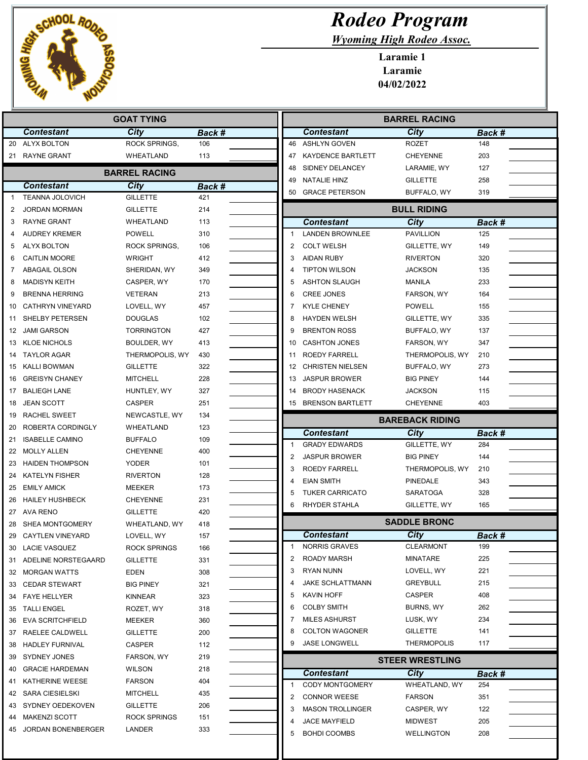

## Rodeo Program

Wyoming High Rodeo Assoc.

Laramie 1 Laramie 04/02/2022

|          | <b>GOAT TYING</b>                           |                                  |            |  | <b>BARREL RACING</b>                   |                        |               |  |
|----------|---------------------------------------------|----------------------------------|------------|--|----------------------------------------|------------------------|---------------|--|
|          | <b>Contestant</b>                           | City                             | Back #     |  | <b>Contestant</b>                      | <b>City</b>            | Back #        |  |
|          | 20 ALYX BOLTON                              | ROCK SPRINGS,                    | 106        |  | 46 ASHLYN GOVEN                        | <b>ROZET</b>           | 148           |  |
|          | 21 RAYNE GRANT                              | WHEATLAND                        | 113        |  | <b>KAYDENCE BARTLETT</b><br>47         | <b>CHEYENNE</b>        | 203           |  |
|          |                                             | <b>BARREL RACING</b>             |            |  | SIDNEY DELANCEY<br>48                  | LARAMIE, WY            | 127           |  |
|          | <b>Contestant</b>                           | City                             | Back #     |  | <b>NATALIE HINZ</b><br>49              | <b>GILLETTE</b>        | 258           |  |
|          | <b>TEANNA JOLOVICH</b>                      | <b>GILLETTE</b>                  | 421        |  | <b>GRACE PETERSON</b><br>50            | BUFFALO, WY            | 319           |  |
| 2        | <b>JORDAN MORMAN</b>                        | <b>GILLETTE</b>                  | 214        |  |                                        | <b>BULL RIDING</b>     |               |  |
| 3        | <b>RAYNE GRANT</b>                          | <b>WHEATLAND</b>                 | 113        |  | <b>Contestant</b>                      | <b>City</b>            | <b>Back #</b> |  |
|          | <b>AUDREY KREMER</b>                        | <b>POWELL</b>                    | 310        |  | <b>LANDEN BROWNLEE</b>                 | <b>PAVILLION</b>       | 125           |  |
| 5        | <b>ALYX BOLTON</b>                          | ROCK SPRINGS,                    | 106        |  | 2<br><b>COLT WELSH</b>                 | GILLETTE, WY           | 149           |  |
| 6        | <b>CAITLIN MOORE</b>                        | WRIGHT                           | 412        |  | 3<br><b>AIDAN RUBY</b>                 | <b>RIVERTON</b>        | 320           |  |
| 7        | ABAGAIL OLSON                               | SHERIDAN, WY                     | 349        |  | <b>TIPTON WILSON</b><br>4              | <b>JACKSON</b>         | 135           |  |
| 8        | <b>MADISYN KEITH</b>                        | CASPER, WY                       | 170        |  | <b>ASHTON SLAUGH</b><br>5              | <b>MANILA</b>          | 233           |  |
| 9        | <b>BRENNA HERRING</b>                       | VETERAN                          | 213        |  | <b>CREE JONES</b><br>6                 | FARSON, WY             | 164           |  |
| 10       | <b>CATHRYN VINEYARD</b>                     | LOVELL, WY                       | 457        |  | <b>KYLE CHENEY</b><br>7                | <b>POWELL</b>          | 155           |  |
| 11       | SHELBY PETERSEN                             | <b>DOUGLAS</b>                   | 102        |  | <b>HAYDEN WELSH</b><br>8               | GILLETTE, WY           | 335           |  |
| 12       | JAMI GARSON                                 | <b>TORRINGTON</b>                | 427        |  | <b>BRENTON ROSS</b><br>9               | BUFFALO, WY            | 137           |  |
| 13       | <b>KLOE NICHOLS</b>                         | BOULDER, WY                      | 413        |  | <b>CASHTON JONES</b><br>10             | FARSON, WY             | 347           |  |
|          | <b>TAYLOR AGAR</b>                          | THERMOPOLIS, WY                  | 430        |  | ROEDY FARRELL<br>11                    | THERMOPOLIS, WY        | 210           |  |
| 14<br>15 | KALLI BOWMAN                                | <b>GILLETTE</b>                  | 322        |  | <b>CHRISTEN NIELSEN</b><br>12          | BUFFALO, WY            | 273           |  |
|          | <b>GREISYN CHANEY</b>                       | <b>MITCHELL</b>                  | 228        |  | <b>JASPUR BROWER</b>                   | <b>BIG PINEY</b>       | 144           |  |
| 16       | <b>BALIEGH LANE</b>                         |                                  |            |  | 13<br><b>BRODY HASENACK</b>            | <b>JACKSON</b>         | 115           |  |
| 17       |                                             | HUNTLEY, WY                      | 327        |  | 14                                     |                        | 403           |  |
| 18       | <b>JEAN SCOTT</b>                           | <b>CASPER</b>                    | 251        |  | <b>BRENSON BARTLETT</b><br>15          | <b>CHEYENNE</b>        |               |  |
| 19       | RACHEL SWEET<br>ROBERTA CORDINGLY           | NEWCASTLE, WY                    | 134<br>123 |  |                                        | <b>BAREBACK RIDING</b> |               |  |
| 20<br>21 | <b>ISABELLE CAMINO</b>                      | WHEATLAND<br><b>BUFFALO</b>      | 109        |  | <b>Contestant</b>                      | City                   | Back #        |  |
| 22       | <b>MOLLY ALLEN</b>                          | <b>CHEYENNE</b>                  | 400        |  | $\mathbf{1}$<br><b>GRADY EDWARDS</b>   | GILLETTE, WY           | 284           |  |
|          | <b>HAIDEN THOMPSON</b>                      | <b>YODER</b>                     | 101        |  | 2<br><b>JASPUR BROWER</b>              | <b>BIG PINEY</b>       | 144           |  |
| 23       |                                             |                                  |            |  | 3<br><b>ROEDY FARRELL</b>              | THERMOPOLIS, WY        | 210           |  |
| 24       | <b>KATELYN FISHER</b><br><b>EMILY AMICK</b> | <b>RIVERTON</b><br><b>MEEKER</b> | 128        |  | <b>EIAN SMITH</b><br>4                 | <b>PINEDALE</b>        | 343           |  |
| 25       |                                             |                                  | 173        |  | <b>TUKER CARRICATO</b><br>5            | SARATOGA               | 328           |  |
| 26       | <b>HAILEY HUSHBECK</b>                      | <b>CHEYENNE</b>                  | 231        |  | <b>RHYDER STAHLA</b><br>6              | GILLETTE, WY           | 165           |  |
| 28       | 27 AVA RENO<br>SHEA MONTGOMERY              | <b>GILLETTE</b><br>WHEATLAND, WY | 420<br>418 |  |                                        | <b>SADDLE BRONC</b>    |               |  |
| 29       | <b>CAYTLEN VINEYARD</b>                     | LOVELL, WY                       | 157        |  | <b>Contestant</b>                      | <b>City</b>            | Back #        |  |
|          | LACIE VASQUEZ                               | <b>ROCK SPRINGS</b>              |            |  | <b>NORRIS GRAVES</b><br>1              | <b>CLEARMONT</b>       | 199           |  |
| 30       | 31 ADELINE NORSTEGAARD                      | <b>GILLETTE</b>                  | 166        |  | 2<br><b>ROADY MARSH</b>                | <b>MINATARE</b>        | 225           |  |
|          |                                             |                                  | 331        |  | <b>RYAN NUNN</b><br>3                  | LOVELL, WY             | 221           |  |
|          | 32 MORGAN WATTS                             | <b>EDEN</b>                      | 308        |  | <b>JAKE SCHLATTMANN</b><br>4           | <b>GREYBULL</b>        | 215           |  |
| 33       | <b>CEDAR STEWART</b>                        | <b>BIG PINEY</b>                 | 321        |  | 5<br>KAVIN HOFF                        | CASPER                 | 408           |  |
| 34       | <b>FAYE HELLYER</b>                         | KINNEAR                          | 323        |  | <b>COLBY SMITH</b><br>6                | BURNS, WY              | 262           |  |
| 35       | <b>TALLI ENGEL</b>                          | ROZET, WY                        | 318        |  | <b>MILES ASHURST</b><br>7              | LUSK, WY               | 234           |  |
| 36       | EVA SCRITCHFIELD                            | MEEKER                           | 360        |  | <b>COLTON WAGONER</b><br>8             | <b>GILLETTE</b>        | 141           |  |
|          | 37 RAELEE CALDWELL                          | <b>GILLETTE</b>                  | 200        |  | <b>JASE LONGWELL</b><br>9              | <b>THERMOPOLIS</b>     | 117           |  |
| 38       | HADLEY FURNIVAL                             | CASPER                           | 112        |  |                                        |                        |               |  |
| 39       | <b>SYDNEY JONES</b>                         | FARSON, WY                       | 219        |  |                                        | <b>STEER WRESTLING</b> |               |  |
| 40       | <b>GRACIE HARDEMAN</b>                      | WILSON                           | 218        |  | <b>Contestant</b>                      | City                   | Back #        |  |
| 41       | KATHERINE WEESE                             | <b>FARSON</b>                    | 404        |  | <b>CODY MONTGOMERY</b><br>$\mathbf{1}$ | WHEATLAND, WY          | 254           |  |
| 42       | SARA CIESIELSKI                             | <b>MITCHELL</b>                  | 435        |  | <b>CONNOR WEESE</b><br>2               | <b>FARSON</b>          | 351           |  |
| 43       | SYDNEY OEDEKOVEN                            | <b>GILLETTE</b>                  | 206        |  | <b>MASON TROLLINGER</b><br>3           | CASPER, WY             | 122           |  |
| 44       | <b>MAKENZI SCOTT</b>                        | <b>ROCK SPRINGS</b>              | 151        |  | <b>JACE MAYFIELD</b><br>4              | <b>MIDWEST</b>         | 205           |  |
| 45       | JORDAN BONENBERGER                          | LANDER                           | 333        |  | 5<br><b>BOHDI COOMBS</b>               | <b>WELLINGTON</b>      | 208           |  |
|          |                                             |                                  |            |  |                                        |                        |               |  |